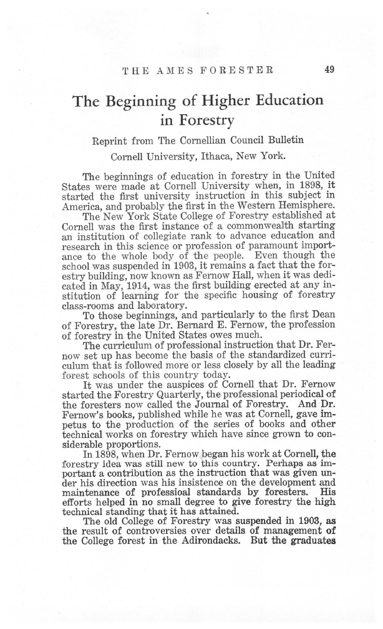## The Beginning of Higher Education in Forestry

## Reprint from The Comellian Council Bulletin

Comell University, Ithaca, New York.

The beginnings of education in forestry in the United states were made at cornell University when, in 1898, it started the first university instruction in this subject in America, and probably the first in the Western Hemisphere.

The New York State College of Forestry established at Cornell was the first instance of a commonwealth starting an institution of collegiate rank to advance education and research in this science or profession of paramount importance to the whole body of the people. Even though the school was suspended in 1903, it remains a fact that the forestry building, now known as Femow Hall, when it was dedicated in May, 1914, was the first building erected at any institution of leaming for the specific housing of forestry class-rooms and laboratory.

To those beginnings, and particularly to the first Dean of Forestry, the late Dr. Bemard E. Femow, the profession of forestry in the United States owes much.

The curriculum of professional instruction that Dr. Fernow set up has become the basis of the standardized curriculum that is followed more or less closely by all the leading forest schools of this country today.

It was under the auspices of Comell that Dr. Fermow started the Forestry Quarterly, the professional periodical of the foresters now called the Joumal of Forestry. And Dr. Femow's books, published while he was at Comell, gave impetus to the production of the series of books and other technical works on forestry which have since grown to considerable proportions.

In 1898, when Dr. Femow began his work at Comell, the forestry idea was still new to this country. Perhaps as important a contribution as the instruction that was given under his direction was his insistence on the development and maintenance of professioal standards by foresters. His maintenance of professioal standards by foresters. efforts helped in no small degree to give forestry the high technical standing that it has attained.

The old College of Forestry was suspended in 1903, as the result of controversies over details of management of the College forest in the Adirondacks. But the graduates